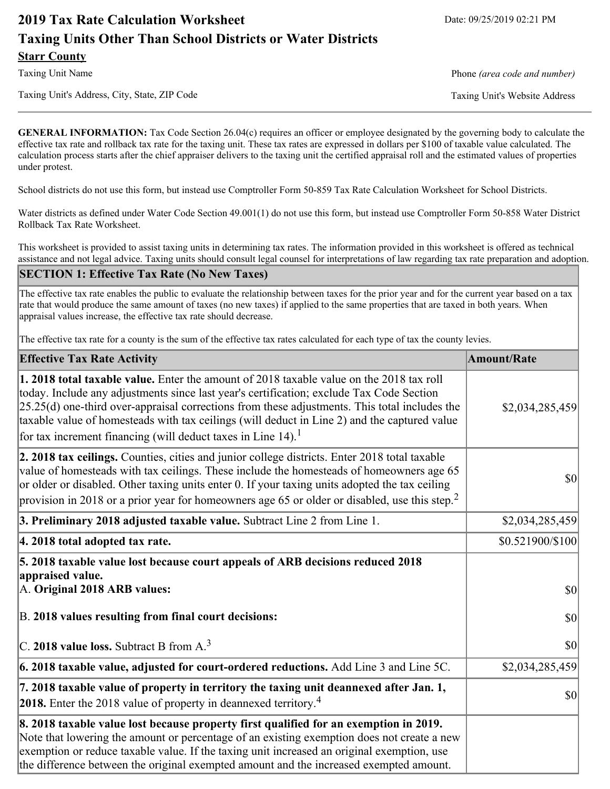# **2019 Tax Rate Calculation Worksheet** Date: 09/25/2019 02:21 PM **Taxing Units Other Than School Districts or Water Districts Starr County**

Taxing Unit's Address, City, State, ZIP Code Taxing Unit's Website Address

Taxing Unit Name **Phone** *(area code and number)* Phone *(area code and number)* 

**GENERAL INFORMATION:** Tax Code Section 26.04(c) requires an officer or employee designated by the governing body to calculate the effective tax rate and rollback tax rate for the taxing unit. These tax rates are expressed in dollars per \$100 of taxable value calculated. The calculation process starts after the chief appraiser delivers to the taxing unit the certified appraisal roll and the estimated values of properties under protest.

School districts do not use this form, but instead use Comptroller Form 50-859 Tax Rate Calculation Worksheet for School Districts.

Water districts as defined under Water Code Section 49.001(1) do not use this form, but instead use Comptroller Form 50-858 Water District Rollback Tax Rate Worksheet.

This worksheet is provided to assist taxing units in determining tax rates. The information provided in this worksheet is offered as technical assistance and not legal advice. Taxing units should consult legal counsel for interpretations of law regarding tax rate preparation and adoption.

### **SECTION 1: Effective Tax Rate (No New Taxes)**

The effective tax rate enables the public to evaluate the relationship between taxes for the prior year and for the current year based on a tax rate that would produce the same amount of taxes (no new taxes) if applied to the same properties that are taxed in both years. When appraisal values increase, the effective tax rate should decrease.

The effective tax rate for a county is the sum of the effective tax rates calculated for each type of tax the county levies.

| <b>Effective Tax Rate Activity</b>                                                                                                                                                                                                                                                                                                                                                                                                                                             | <b>Amount/Rate</b> |
|--------------------------------------------------------------------------------------------------------------------------------------------------------------------------------------------------------------------------------------------------------------------------------------------------------------------------------------------------------------------------------------------------------------------------------------------------------------------------------|--------------------|
| <b>1. 2018 total taxable value.</b> Enter the amount of 2018 taxable value on the 2018 tax roll<br>today. Include any adjustments since last year's certification; exclude Tax Code Section<br>$[25.25(d)$ one-third over-appraisal corrections from these adjustments. This total includes the<br>taxable value of homesteads with tax ceilings (will deduct in Line 2) and the captured value<br>for tax increment financing (will deduct taxes in Line $14$ ). <sup>1</sup> | \$2,034,285,459    |
| 2. 2018 tax ceilings. Counties, cities and junior college districts. Enter 2018 total taxable<br>value of homesteads with tax ceilings. These include the homesteads of homeowners age 65<br>or older or disabled. Other taxing units enter 0. If your taxing units adopted the tax ceiling<br>provision in 2018 or a prior year for homeowners age 65 or older or disabled, use this step. <sup>2</sup>                                                                       | $ 10\rangle$       |
| 3. Preliminary 2018 adjusted taxable value. Subtract Line 2 from Line 1.                                                                                                                                                                                                                                                                                                                                                                                                       | \$2,034,285,459    |
| 4. 2018 total adopted tax rate.                                                                                                                                                                                                                                                                                                                                                                                                                                                | \$0.521900/\$100   |
| 5. 2018 taxable value lost because court appeals of ARB decisions reduced 2018<br>appraised value.<br>A. Original 2018 ARB values:                                                                                                                                                                                                                                                                                                                                             | $ 10\rangle$       |
| B. 2018 values resulting from final court decisions:                                                                                                                                                                                                                                                                                                                                                                                                                           | $ 10\rangle$       |
| C. 2018 value loss. Subtract B from $A3$                                                                                                                                                                                                                                                                                                                                                                                                                                       | 30                 |
| $\vert$ 6. 2018 taxable value, adjusted for court-ordered reductions. Add Line 3 and Line 5C.                                                                                                                                                                                                                                                                                                                                                                                  | \$2,034,285,459    |
| 7. 2018 taxable value of property in territory the taxing unit deannexed after Jan. 1,<br>2018. Enter the 2018 value of property in deannexed territory. <sup>4</sup>                                                                                                                                                                                                                                                                                                          | $\vert$ so $\vert$ |
| 8. 2018 taxable value lost because property first qualified for an exemption in 2019.<br>Note that lowering the amount or percentage of an existing exemption does not create a new<br>exemption or reduce taxable value. If the taxing unit increased an original exemption, use<br>the difference between the original exempted amount and the increased exempted amount.                                                                                                    |                    |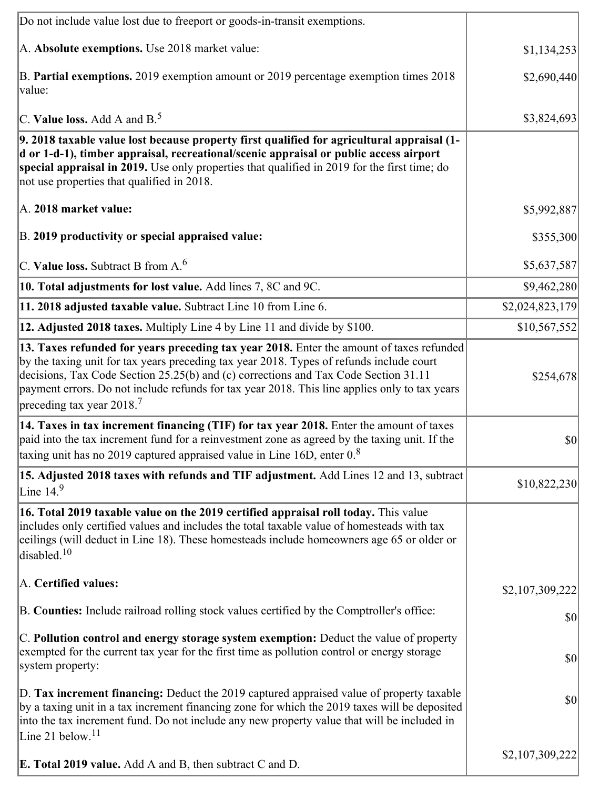| Do not include value lost due to freeport or goods-in-transit exemptions.                                                                                                                                                                                                                                                                                                                                              |                 |
|------------------------------------------------------------------------------------------------------------------------------------------------------------------------------------------------------------------------------------------------------------------------------------------------------------------------------------------------------------------------------------------------------------------------|-----------------|
| A. Absolute exemptions. Use 2018 market value:                                                                                                                                                                                                                                                                                                                                                                         | \$1,134,253     |
| B. Partial exemptions. 2019 exemption amount or 2019 percentage exemption times 2018<br>value:                                                                                                                                                                                                                                                                                                                         | \$2,690,440     |
| C. Value loss. Add A and $B^5$ .                                                                                                                                                                                                                                                                                                                                                                                       | \$3,824,693     |
| 9. 2018 taxable value lost because property first qualified for agricultural appraisal (1-<br>d or 1-d-1), timber appraisal, recreational/scenic appraisal or public access airport<br>special appraisal in 2019. Use only properties that qualified in 2019 for the first time; do<br>not use properties that qualified in 2018.                                                                                      |                 |
| A. 2018 market value:                                                                                                                                                                                                                                                                                                                                                                                                  | \$5,992,887     |
| B. 2019 productivity or special appraised value:                                                                                                                                                                                                                                                                                                                                                                       | \$355,300       |
| C. Value loss. Subtract B from $A6$                                                                                                                                                                                                                                                                                                                                                                                    | \$5,637,587     |
| 10. Total adjustments for lost value. Add lines 7, 8C and 9C.                                                                                                                                                                                                                                                                                                                                                          | \$9,462,280     |
| 11. 2018 adjusted taxable value. Subtract Line 10 from Line 6.                                                                                                                                                                                                                                                                                                                                                         | \$2,024,823,179 |
| 12. Adjusted 2018 taxes. Multiply Line 4 by Line 11 and divide by \$100.                                                                                                                                                                                                                                                                                                                                               | \$10,567,552    |
| 13. Taxes refunded for years preceding tax year 2018. Enter the amount of taxes refunded<br>by the taxing unit for tax years preceding tax year 2018. Types of refunds include court<br>decisions, Tax Code Section 25.25(b) and (c) corrections and Tax Code Section 31.11<br>payment errors. Do not include refunds for tax year 2018. This line applies only to tax years<br>preceding tax year $2018$ <sup>7</sup> | \$254,678       |
| 14. Taxes in tax increment financing (TIF) for tax year 2018. Enter the amount of taxes<br>paid into the tax increment fund for a reinvestment zone as agreed by the taxing unit. If the<br>taxing unit has no 2019 captured appraised value in Line 16D, enter $08$                                                                                                                                                   | $ 10\rangle$    |
| 15. Adjusted 2018 taxes with refunds and TIF adjustment. Add Lines 12 and 13, subtract<br>Line $14.9$                                                                                                                                                                                                                                                                                                                  | \$10,822,230    |
| 16. Total 2019 taxable value on the 2019 certified appraisal roll today. This value<br>includes only certified values and includes the total taxable value of homesteads with tax<br>ceilings (will deduct in Line 18). These homesteads include homeowners age 65 or older or<br>disabled. <sup>10</sup>                                                                                                              |                 |
| A. Certified values:                                                                                                                                                                                                                                                                                                                                                                                                   | \$2,107,309,222 |
| B. Counties: Include railroad rolling stock values certified by the Comptroller's office:                                                                                                                                                                                                                                                                                                                              | \$0             |
| C. Pollution control and energy storage system exemption: Deduct the value of property<br>exempted for the current tax year for the first time as pollution control or energy storage<br>system property:                                                                                                                                                                                                              | $ 10\rangle$    |
| D. Tax increment financing: Deduct the 2019 captured appraised value of property taxable<br>by a taxing unit in a tax increment financing zone for which the 2019 taxes will be deposited<br>into the tax increment fund. Do not include any new property value that will be included in<br>Line 21 below. $11$                                                                                                        | $ 10\rangle$    |
| <b>E. Total 2019 value.</b> Add A and B, then subtract C and D.                                                                                                                                                                                                                                                                                                                                                        | \$2,107,309,222 |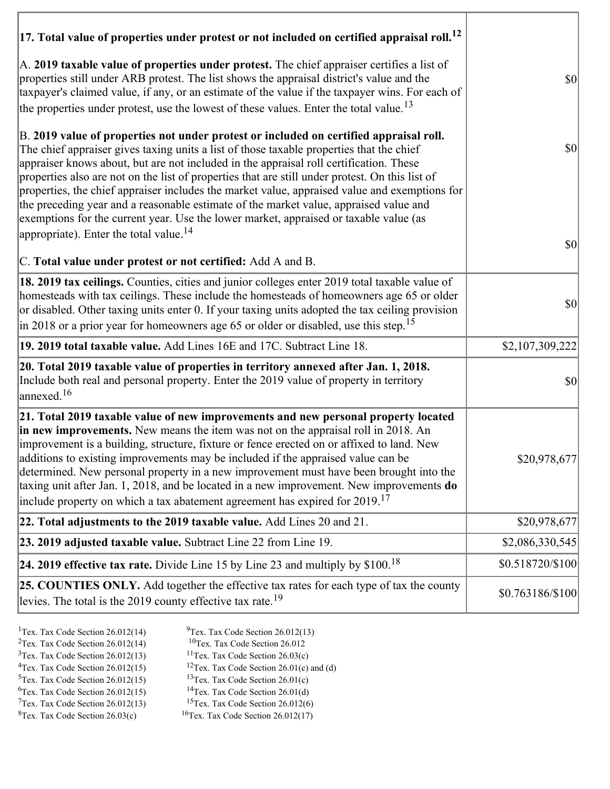| $ 17$ . Total value of properties under protest or not included on certified appraisal roll. <sup>12</sup>                                                                                                                                                                                                                                                                                                                                                                                                                                                                                                                                                                                                               |                   |
|--------------------------------------------------------------------------------------------------------------------------------------------------------------------------------------------------------------------------------------------------------------------------------------------------------------------------------------------------------------------------------------------------------------------------------------------------------------------------------------------------------------------------------------------------------------------------------------------------------------------------------------------------------------------------------------------------------------------------|-------------------|
| A. 2019 taxable value of properties under protest. The chief appraiser certifies a list of<br>properties still under ARB protest. The list shows the appraisal district's value and the<br>taxpayer's claimed value, if any, or an estimate of the value if the taxpayer wins. For each of<br>the properties under protest, use the lowest of these values. Enter the total value. <sup>13</sup>                                                                                                                                                                                                                                                                                                                         | $ 10\rangle$      |
| B. 2019 value of properties not under protest or included on certified appraisal roll.<br>The chief appraiser gives taxing units a list of those taxable properties that the chief<br>appraiser knows about, but are not included in the appraisal roll certification. These<br>properties also are not on the list of properties that are still under protest. On this list of<br>properties, the chief appraiser includes the market value, appraised value and exemptions for<br>the preceding year and a reasonable estimate of the market value, appraised value and<br>exemptions for the current year. Use the lower market, appraised or taxable value (as<br>appropriate). Enter the total value. <sup>14</sup> | $ 10\rangle$      |
| C. Total value under protest or not certified: Add A and B.                                                                                                                                                                                                                                                                                                                                                                                                                                                                                                                                                                                                                                                              | $ 10\rangle$      |
| 18. 2019 tax ceilings. Counties, cities and junior colleges enter 2019 total taxable value of<br>homesteads with tax ceilings. These include the homesteads of homeowners age 65 or older<br>or disabled. Other taxing units enter 0. If your taxing units adopted the tax ceiling provision<br>in 2018 or a prior year for homeowners age 65 or older or disabled, use this step. <sup>15</sup>                                                                                                                                                                                                                                                                                                                         | $ 10\rangle$      |
| 19. 2019 total taxable value. Add Lines 16E and 17C. Subtract Line 18.                                                                                                                                                                                                                                                                                                                                                                                                                                                                                                                                                                                                                                                   | \$2,107,309,222   |
| 20. Total 2019 taxable value of properties in territory annexed after Jan. 1, 2018.<br>Include both real and personal property. Enter the 2019 value of property in territory<br>annexed. <sup>16</sup>                                                                                                                                                                                                                                                                                                                                                                                                                                                                                                                  | $ 10\rangle$      |
| 21. Total 2019 taxable value of new improvements and new personal property located<br>in new improvements. New means the item was not on the appraisal roll in 2018. An<br>improvement is a building, structure, fixture or fence erected on or affixed to land. New<br>additions to existing improvements may be included if the appraised value can be<br>determined. New personal property in a new improvement must have been brought into the<br>taxing unit after Jan. 1, 2018, and be located in a new improvement. New improvements do<br>include property on which a tax abatement agreement has expired for $2019$ . <sup>17</sup>                                                                             | \$20,978,677      |
| 22. Total adjustments to the 2019 taxable value. Add Lines 20 and 21.                                                                                                                                                                                                                                                                                                                                                                                                                                                                                                                                                                                                                                                    | \$20,978,677      |
| 23. 2019 adjusted taxable value. Subtract Line 22 from Line 19.                                                                                                                                                                                                                                                                                                                                                                                                                                                                                                                                                                                                                                                          | \$2,086,330,545   |
| 24. 2019 effective tax rate. Divide Line 15 by Line 23 and multiply by $$100$ . <sup>18</sup>                                                                                                                                                                                                                                                                                                                                                                                                                                                                                                                                                                                                                            | \$0.518720/\$100  |
| 25. COUNTIES ONLY. Add together the effective tax rates for each type of tax the county<br>levies. The total is the 2019 county effective tax rate. <sup>19</sup>                                                                                                                                                                                                                                                                                                                                                                                                                                                                                                                                                        | $$0.763186/\$100$ |

- 
- <sup>1</sup>Tex. Tax Code Section 26.012(14) <sup>9</sup>Tex. Tax Code Section 26.012(13) <sup>9</sup>Tex. Tax Code Section 26.012
	-
	-
- ${}^{3}$ Tex. Tax Code Section 26.012(13)<br> ${}^{4}$ Tex. Tax Code Section 26.012(15)
- 
- <sup>2</sup>Tex. Tax Code Section 26.012(14) <sup>10</sup>Tex. Tax Code Section 26.012<br><sup>3</sup>Tex. Tax Code Section 26.03(c) <sup>11</sup>Tex. Tax Code Section 26.03(c)
	-
	- <sup>12</sup>Tex. Tax Code Section 26.01(c) and (d) <sup>13</sup>Tex. Tax Code Section 26.01(c)
- <sup>5</sup>Tex. Tax Code Section 26.012(15) <sup>13</sup>Tex. Tax Code Section 26.01(c)<br><sup>6</sup>Tex. Tax Code Section 26.012(15) <sup>14</sup>Tex. Tax Code Section 26.01(d)
	-
- <sup>6</sup>Tex. Tax Code Section 26.012(15) <sup>14</sup>Tex. Tax Code Section 26.01(d)<br><sup>7</sup>Tex. Tax Code Section 26.012(13) <sup>15</sup>Tex. Tax Code Section 26.012(6)
- $7$ Tex. Tax Code Section 26.012(13)<br><sup>8</sup>Tex. Tax Code Section 26.03(c)
- $16$ Tex. Tax Code Section 26.012(17)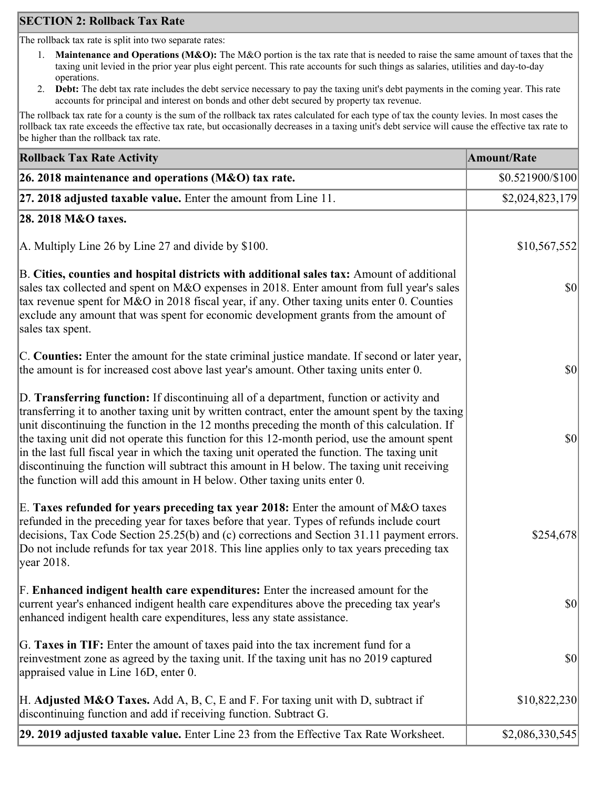# **SECTION 2: Rollback Tax Rate**

The rollback tax rate is split into two separate rates:

- 1. **Maintenance and Operations (M&O):** The M&O portion is the tax rate that is needed to raise the same amount of taxes that the taxing unit levied in the prior year plus eight percent. This rate accounts for such things as salaries, utilities and day-to-day operations.
- 2. **Debt:** The debt tax rate includes the debt service necessary to pay the taxing unit's debt payments in the coming year. This rate accounts for principal and interest on bonds and other debt secured by property tax revenue.

The rollback tax rate for a county is the sum of the rollback tax rates calculated for each type of tax the county levies. In most cases the rollback tax rate exceeds the effective tax rate, but occasionally decreases in a taxing unit's debt service will cause the effective tax rate to be higher than the rollback tax rate.

| <b>Rollback Tax Rate Activity</b>                                                                                                                                                                                                                                                                                                                                                                                                                                                                                                                                                                                                                                       | <b>Amount/Rate</b> |
|-------------------------------------------------------------------------------------------------------------------------------------------------------------------------------------------------------------------------------------------------------------------------------------------------------------------------------------------------------------------------------------------------------------------------------------------------------------------------------------------------------------------------------------------------------------------------------------------------------------------------------------------------------------------------|--------------------|
| 26. 2018 maintenance and operations (M&O) tax rate.                                                                                                                                                                                                                                                                                                                                                                                                                                                                                                                                                                                                                     | \$0.521900/\$100   |
| 27. 2018 adjusted taxable value. Enter the amount from Line 11.                                                                                                                                                                                                                                                                                                                                                                                                                                                                                                                                                                                                         | \$2,024,823,179    |
| 28. 2018 M&O taxes.                                                                                                                                                                                                                                                                                                                                                                                                                                                                                                                                                                                                                                                     |                    |
| A. Multiply Line 26 by Line 27 and divide by $$100$ .                                                                                                                                                                                                                                                                                                                                                                                                                                                                                                                                                                                                                   | \$10,567,552       |
| B. Cities, counties and hospital districts with additional sales tax: Amount of additional<br>sales tax collected and spent on M&O expenses in 2018. Enter amount from full year's sales<br>tax revenue spent for M&O in 2018 fiscal year, if any. Other taxing units enter 0. Counties<br>exclude any amount that was spent for economic development grants from the amount of<br>sales tax spent.                                                                                                                                                                                                                                                                     | $ 10\rangle$       |
| C. Counties: Enter the amount for the state criminal justice mandate. If second or later year,<br>the amount is for increased cost above last year's amount. Other taxing units enter 0.                                                                                                                                                                                                                                                                                                                                                                                                                                                                                | $ 10\rangle$       |
| D. Transferring function: If discontinuing all of a department, function or activity and<br>transferring it to another taxing unit by written contract, enter the amount spent by the taxing<br>unit discontinuing the function in the 12 months preceding the month of this calculation. If<br>the taxing unit did not operate this function for this 12-month period, use the amount spent<br>in the last full fiscal year in which the taxing unit operated the function. The taxing unit<br>discontinuing the function will subtract this amount in H below. The taxing unit receiving<br>the function will add this amount in H below. Other taxing units enter 0. | $ 10\rangle$       |
| E. Taxes refunded for years preceding tax year 2018: Enter the amount of M&O taxes<br>refunded in the preceding year for taxes before that year. Types of refunds include court<br>decisions, Tax Code Section 25.25(b) and (c) corrections and Section 31.11 payment errors.<br>Do not include refunds for tax year 2018. This line applies only to tax years preceding tax<br> year 2018.                                                                                                                                                                                                                                                                             | \$254,678          |
| F. Enhanced indigent health care expenditures: Enter the increased amount for the<br>current year's enhanced indigent health care expenditures above the preceding tax year's<br>enhanced indigent health care expenditures, less any state assistance.                                                                                                                                                                                                                                                                                                                                                                                                                 | $ 10\rangle$       |
| G. Taxes in TIF: Enter the amount of taxes paid into the tax increment fund for a<br>reinvestment zone as agreed by the taxing unit. If the taxing unit has no 2019 captured<br>appraised value in Line 16D, enter 0.                                                                                                                                                                                                                                                                                                                                                                                                                                                   | $ 10\rangle$       |
| H. Adjusted M&O Taxes. Add A, B, C, E and F. For taxing unit with D, subtract if<br>discontinuing function and add if receiving function. Subtract G.                                                                                                                                                                                                                                                                                                                                                                                                                                                                                                                   | \$10,822,230       |
| 29. 2019 adjusted taxable value. Enter Line 23 from the Effective Tax Rate Worksheet.                                                                                                                                                                                                                                                                                                                                                                                                                                                                                                                                                                                   | \$2,086,330,545    |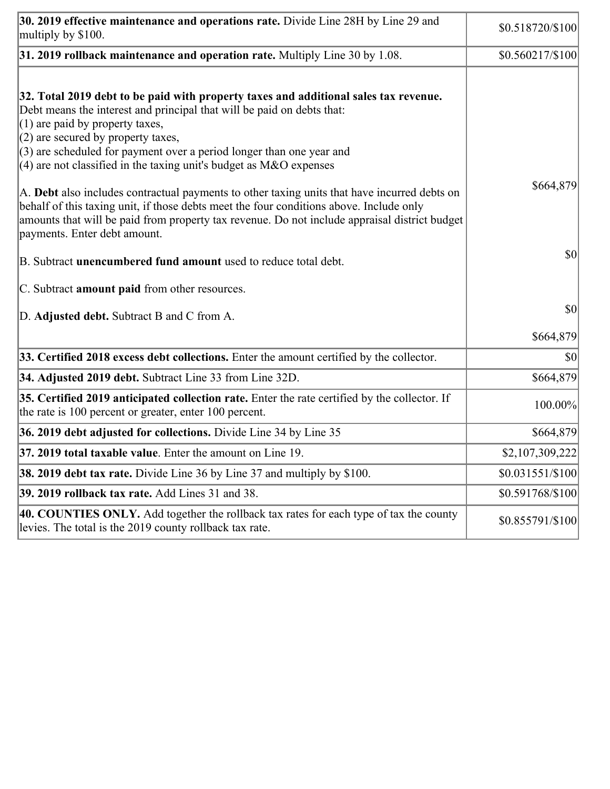| 30. 2019 effective maintenance and operations rate. Divide Line 28H by Line 29 and<br>multiply by \$100.                                                                                                                                                                                                                                                                                      | \$0.518720/\$100  |
|-----------------------------------------------------------------------------------------------------------------------------------------------------------------------------------------------------------------------------------------------------------------------------------------------------------------------------------------------------------------------------------------------|-------------------|
| $31.2019$ rollback maintenance and operation rate. Multiply Line 30 by 1.08.                                                                                                                                                                                                                                                                                                                  | \$0.560217/\$100  |
| 32. Total 2019 debt to be paid with property taxes and additional sales tax revenue.<br>Debt means the interest and principal that will be paid on debts that:<br>$(1)$ are paid by property taxes,<br>$(2)$ are secured by property taxes,<br>$(3)$ are scheduled for payment over a period longer than one year and<br>$(4)$ are not classified in the taxing unit's budget as M&O expenses |                   |
| A. Debt also includes contractual payments to other taxing units that have incurred debts on<br>behalf of this taxing unit, if those debts meet the four conditions above. Include only<br>amounts that will be paid from property tax revenue. Do not include appraisal district budget<br>payments. Enter debt amount.                                                                      | \$664,879         |
| B. Subtract unencumbered fund amount used to reduce total debt.                                                                                                                                                                                                                                                                                                                               | \$0               |
| C. Subtract <b>amount paid</b> from other resources.                                                                                                                                                                                                                                                                                                                                          |                   |
| D. Adjusted debt. Subtract B and C from A.                                                                                                                                                                                                                                                                                                                                                    | \$0               |
|                                                                                                                                                                                                                                                                                                                                                                                               | \$664,879         |
| 33. Certified 2018 excess debt collections. Enter the amount certified by the collector.                                                                                                                                                                                                                                                                                                      | \$0               |
| 34. Adjusted 2019 debt. Subtract Line 33 from Line 32D.                                                                                                                                                                                                                                                                                                                                       | \$664,879         |
| 35. Certified 2019 anticipated collection rate. Enter the rate certified by the collector. If<br>the rate is 100 percent or greater, enter 100 percent.                                                                                                                                                                                                                                       | 100.00%           |
| 36. 2019 debt adjusted for collections. Divide Line 34 by Line 35                                                                                                                                                                                                                                                                                                                             | \$664,879         |
| 37. 2019 total taxable value. Enter the amount on Line 19.                                                                                                                                                                                                                                                                                                                                    | \$2,107,309,222   |
| <b>38. 2019 debt tax rate.</b> Divide Line 36 by Line 37 and multiply by \$100.                                                                                                                                                                                                                                                                                                               | \$0.031551/\$100  |
| 39. 2019 rollback tax rate. Add Lines 31 and 38.                                                                                                                                                                                                                                                                                                                                              | \$0.591768/\$100  |
| 40. COUNTIES ONLY. Add together the rollback tax rates for each type of tax the county<br>levies. The total is the 2019 county rollback tax rate.                                                                                                                                                                                                                                             | $$0.855791/\$100$ |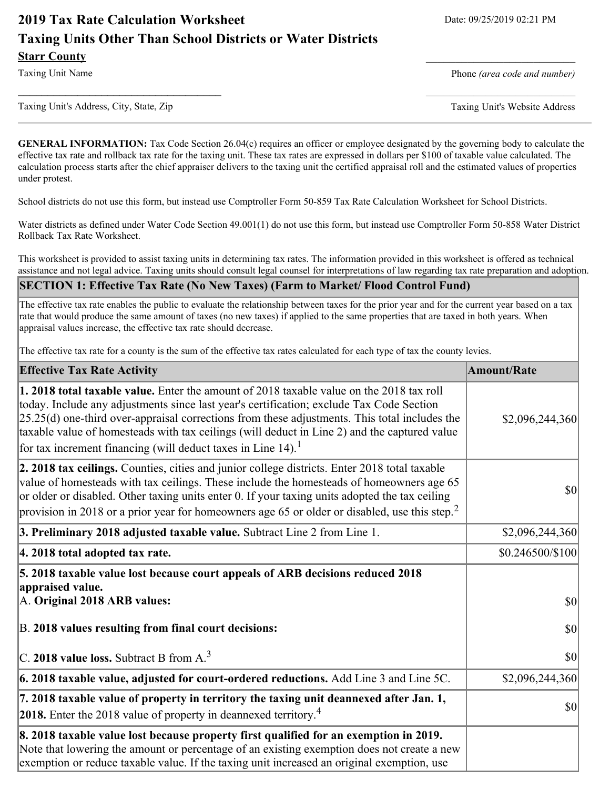# **2019 Tax Rate Calculation Worksheet** Date: 09/25/2019 02:21 PM **Taxing Units Other Than School Districts or Water Districts Starr County**

Taxing Unit Name **Phone** *(area code and number)* Phone *(area code and number)* 

Taxing Unit's Address, City, State, Zip Taxing Unit's Website Address

**GENERAL INFORMATION:** Tax Code Section 26.04(c) requires an officer or employee designated by the governing body to calculate the effective tax rate and rollback tax rate for the taxing unit. These tax rates are expressed in dollars per \$100 of taxable value calculated. The calculation process starts after the chief appraiser delivers to the taxing unit the certified appraisal roll and the estimated values of properties under protest.

**\_\_\_\_\_\_\_\_\_\_\_\_\_\_\_\_\_\_\_\_\_\_\_\_\_\_\_\_\_\_\_\_\_\_** \_\_\_\_\_\_\_\_\_\_\_\_\_\_\_\_\_\_\_\_\_\_\_\_\_

School districts do not use this form, but instead use Comptroller Form 50-859 Tax Rate Calculation Worksheet for School Districts.

Water districts as defined under Water Code Section 49.001(1) do not use this form, but instead use Comptroller Form 50-858 Water District Rollback Tax Rate Worksheet.

This worksheet is provided to assist taxing units in determining tax rates. The information provided in this worksheet is offered as technical assistance and not legal advice. Taxing units should consult legal counsel for interpretations of law regarding tax rate preparation and adoption.

#### **SECTION 1: Effective Tax Rate (No New Taxes) (Farm to Market/ Flood Control Fund)**

The effective tax rate enables the public to evaluate the relationship between taxes for the prior year and for the current year based on a tax rate that would produce the same amount of taxes (no new taxes) if applied to the same properties that are taxed in both years. When appraisal values increase, the effective tax rate should decrease.

The effective tax rate for a county is the sum of the effective tax rates calculated for each type of tax the county levies.

| <b>Effective Tax Rate Activity</b>                                                                                                                                                                                                                                                                                                                                                                                                                                          | <b>Amount/Rate</b> |
|-----------------------------------------------------------------------------------------------------------------------------------------------------------------------------------------------------------------------------------------------------------------------------------------------------------------------------------------------------------------------------------------------------------------------------------------------------------------------------|--------------------|
| <b>1. 2018 total taxable value.</b> Enter the amount of 2018 taxable value on the 2018 tax roll<br>today. Include any adjustments since last year's certification; exclude Tax Code Section<br>$[25.25(d)$ one-third over-appraisal corrections from these adjustments. This total includes the<br>taxable value of homesteads with tax ceilings (will deduct in Line 2) and the captured value<br>for tax increment financing (will deduct taxes in Line 14). <sup>1</sup> | \$2,096,244,360    |
| 2. 2018 tax ceilings. Counties, cities and junior college districts. Enter 2018 total taxable<br>value of homesteads with tax ceilings. These include the homesteads of homeowners age 65<br>or older or disabled. Other taxing units enter 0. If your taxing units adopted the tax ceiling<br>provision in 2018 or a prior year for homeowners age 65 or older or disabled, use this step. <sup>2</sup>                                                                    | $ 10\rangle$       |
| 3. Preliminary 2018 adjusted taxable value. Subtract Line 2 from Line 1.                                                                                                                                                                                                                                                                                                                                                                                                    | \$2,096,244,360    |
| 4. 2018 total adopted tax rate.                                                                                                                                                                                                                                                                                                                                                                                                                                             | \$0.246500/\$100   |
| 5. 2018 taxable value lost because court appeals of ARB decisions reduced 2018<br>appraised value.                                                                                                                                                                                                                                                                                                                                                                          |                    |
| A. Original 2018 ARB values:                                                                                                                                                                                                                                                                                                                                                                                                                                                | $ 10\rangle$       |
| B. 2018 values resulting from final court decisions:                                                                                                                                                                                                                                                                                                                                                                                                                        | $ 10\rangle$       |
| C. 2018 value loss. Subtract B from $A3$                                                                                                                                                                                                                                                                                                                                                                                                                                    | $ 10\rangle$       |
| $\vert$ 6. 2018 taxable value, adjusted for court-ordered reductions. Add Line 3 and Line 5C.                                                                                                                                                                                                                                                                                                                                                                               | \$2,096,244,360    |
| 7. 2018 taxable value of property in territory the taxing unit deannexed after Jan. 1,<br><b>2018.</b> Enter the 2018 value of property in deannexed territory. <sup>4</sup>                                                                                                                                                                                                                                                                                                | $ 10\rangle$       |
| 8. 2018 taxable value lost because property first qualified for an exemption in 2019.<br>Note that lowering the amount or percentage of an existing exemption does not create a new<br>exemption or reduce taxable value. If the taxing unit increased an original exemption, use                                                                                                                                                                                           |                    |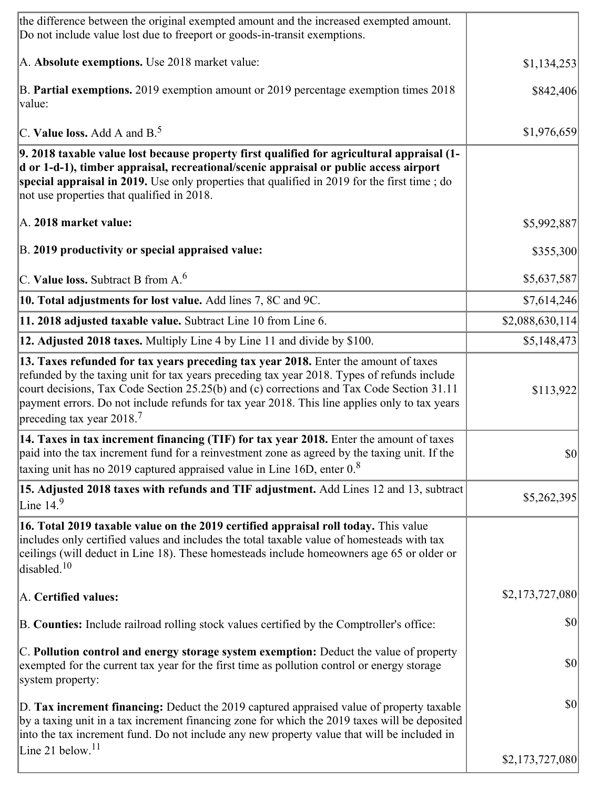| the difference between the original exempted amount and the increased exempted amount.<br>Do not include value lost due to freeport or goods-in-transit exemptions.                                                                                                                                                                                                                                                       |                  |
|---------------------------------------------------------------------------------------------------------------------------------------------------------------------------------------------------------------------------------------------------------------------------------------------------------------------------------------------------------------------------------------------------------------------------|------------------|
| A. Absolute exemptions. Use 2018 market value:                                                                                                                                                                                                                                                                                                                                                                            | \$1,134,253      |
| B. Partial exemptions. 2019 exemption amount or 2019 percentage exemption times 2018<br>value:                                                                                                                                                                                                                                                                                                                            | \$842,406        |
| C. Value loss. Add A and $B^5$                                                                                                                                                                                                                                                                                                                                                                                            | \$1,976,659      |
| 9. 2018 taxable value lost because property first qualified for agricultural appraisal (1-<br>d or 1-d-1), timber appraisal, recreational/scenic appraisal or public access airport<br>special appraisal in 2019. Use only properties that qualified in 2019 for the first time; do<br>not use properties that qualified in 2018.                                                                                         |                  |
| A. 2018 market value:                                                                                                                                                                                                                                                                                                                                                                                                     | \$5,992,887      |
| B. 2019 productivity or special appraised value:                                                                                                                                                                                                                                                                                                                                                                          | \$355,300        |
| C. Value loss. Subtract B from $A6$                                                                                                                                                                                                                                                                                                                                                                                       | \$5,637,587      |
| 10. Total adjustments for lost value. Add lines 7, 8C and 9C.                                                                                                                                                                                                                                                                                                                                                             | \$7,614,246      |
| 11. 2018 adjusted taxable value. Subtract Line 10 from Line 6.                                                                                                                                                                                                                                                                                                                                                            | \$2,088,630,114] |
| 12. Adjusted 2018 taxes. Multiply Line 4 by Line 11 and divide by \$100.                                                                                                                                                                                                                                                                                                                                                  | \$5,148,473      |
| 13. Taxes refunded for tax years preceding tax year 2018. Enter the amount of taxes<br>refunded by the taxing unit for tax years preceding tax year 2018. Types of refunds include<br>court decisions, Tax Code Section 25.25(b) and (c) corrections and Tax Code Section 31.11<br>payment errors. Do not include refunds for tax year 2018. This line applies only to tax years<br>preceding tax year 2018. <sup>7</sup> | \$113,922        |
| 14. Taxes in tax increment financing (TIF) for tax year 2018. Enter the amount of taxes<br>paid into the tax increment fund for a reinvestment zone as agreed by the taxing unit. If the<br>taxing unit has no 2019 captured appraised value in Line 16D, enter $0.8$                                                                                                                                                     | $ 10\rangle$     |
| 15. Adjusted 2018 taxes with refunds and TIF adjustment. Add Lines 12 and 13, subtract<br>Line $149$                                                                                                                                                                                                                                                                                                                      | \$5,262,395      |
| 16. Total 2019 taxable value on the 2019 certified appraisal roll today. This value<br>includes only certified values and includes the total taxable value of homesteads with tax<br>ceilings (will deduct in Line 18). These homesteads include homeowners age 65 or older or<br>disabled. $10$                                                                                                                          |                  |
| A. Certified values:                                                                                                                                                                                                                                                                                                                                                                                                      | \$2,173,727,080  |
| B. Counties: Include railroad rolling stock values certified by the Comptroller's office:                                                                                                                                                                                                                                                                                                                                 | $ 10\rangle$     |
| C. Pollution control and energy storage system exemption: Deduct the value of property<br>exempted for the current tax year for the first time as pollution control or energy storage<br>system property:                                                                                                                                                                                                                 | $ 10\rangle$     |
| D. Tax increment financing: Deduct the 2019 captured appraised value of property taxable<br>by a taxing unit in a tax increment financing zone for which the 2019 taxes will be deposited<br>into the tax increment fund. Do not include any new property value that will be included in                                                                                                                                  | $ 10\rangle$     |
| Line 21 below. <sup>11</sup>                                                                                                                                                                                                                                                                                                                                                                                              | \$2,173,727,080  |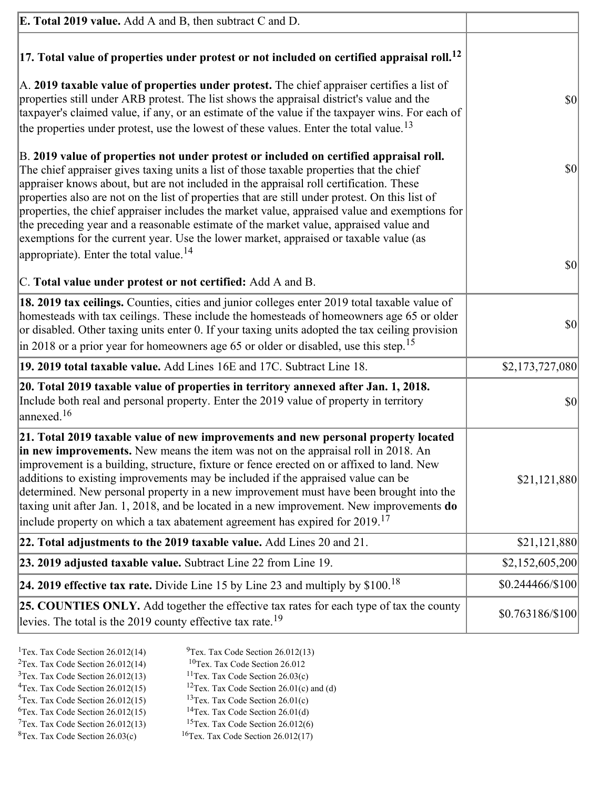| <b>E. Total 2019 value.</b> Add A and B, then subtract C and D.                                                                                                                                                                                                                                                                                                                                                                                                                                                                                                                                                                                                    |                  |
|--------------------------------------------------------------------------------------------------------------------------------------------------------------------------------------------------------------------------------------------------------------------------------------------------------------------------------------------------------------------------------------------------------------------------------------------------------------------------------------------------------------------------------------------------------------------------------------------------------------------------------------------------------------------|------------------|
| $ 17$ . Total value of properties under protest or not included on certified appraisal roll. <sup>12</sup>                                                                                                                                                                                                                                                                                                                                                                                                                                                                                                                                                         |                  |
| A. 2019 taxable value of properties under protest. The chief appraiser certifies a list of<br>properties still under ARB protest. The list shows the appraisal district's value and the<br>taxpayer's claimed value, if any, or an estimate of the value if the taxpayer wins. For each of<br>the properties under protest, use the lowest of these values. Enter the total value. <sup>13</sup>                                                                                                                                                                                                                                                                   | \$0              |
| B. 2019 value of properties not under protest or included on certified appraisal roll.<br>The chief appraiser gives taxing units a list of those taxable properties that the chief<br>appraiser knows about, but are not included in the appraisal roll certification. These<br>properties also are not on the list of properties that are still under protest. On this list of<br>properties, the chief appraiser includes the market value, appraised value and exemptions for<br>the preceding year and a reasonable estimate of the market value, appraised value and<br>exemptions for the current year. Use the lower market, appraised or taxable value (as | $ 10\rangle$     |
| appropriate). Enter the total value. <sup>14</sup><br>C. Total value under protest or not certified: Add A and B.                                                                                                                                                                                                                                                                                                                                                                                                                                                                                                                                                  | \$0              |
| 18. 2019 tax ceilings. Counties, cities and junior colleges enter 2019 total taxable value of<br>homesteads with tax ceilings. These include the homesteads of homeowners age 65 or older<br>or disabled. Other taxing units enter 0. If your taxing units adopted the tax ceiling provision<br>$\vert$ in 2018 or a prior year for homeowners age 65 or older or disabled, use this step. <sup>15</sup>                                                                                                                                                                                                                                                           | $ 10\rangle$     |
| 19. 2019 total taxable value. Add Lines 16E and 17C. Subtract Line 18.                                                                                                                                                                                                                                                                                                                                                                                                                                                                                                                                                                                             | \$2,173,727,080  |
| 20. Total 2019 taxable value of properties in territory annexed after Jan. 1, 2018.<br>Include both real and personal property. Enter the 2019 value of property in territory<br>$\lambda$ annexed. $^{16}$                                                                                                                                                                                                                                                                                                                                                                                                                                                        | \$0              |
| 21. Total 2019 taxable value of new improvements and new personal property located<br>in new improvements. New means the item was not on the appraisal roll in 2018. An<br>improvement is a building, structure, fixture or fence erected on or affixed to land. New<br>additions to existing improvements may be included if the appraised value can be<br>determined. New personal property in a new improvement must have been brought into the<br>taxing unit after Jan. 1, 2018, and be located in a new improvement. New improvements do<br>include property on which a tax abatement agreement has expired for $2019$ . <sup>17</sup>                       | \$21,121,880     |
| 22. Total adjustments to the 2019 taxable value. Add Lines 20 and 21.                                                                                                                                                                                                                                                                                                                                                                                                                                                                                                                                                                                              | \$21,121,880     |
| 23. 2019 adjusted taxable value. Subtract Line 22 from Line 19.                                                                                                                                                                                                                                                                                                                                                                                                                                                                                                                                                                                                    | \$2,152,605,200  |
| 24. 2019 effective tax rate. Divide Line 15 by Line 23 and multiply by $$100$ . <sup>18</sup>                                                                                                                                                                                                                                                                                                                                                                                                                                                                                                                                                                      | \$0.244466/\$100 |
| 25. COUNTIES ONLY. Add together the effective tax rates for each type of tax the county<br>levies. The total is the 2019 county effective tax rate. <sup>19</sup>                                                                                                                                                                                                                                                                                                                                                                                                                                                                                                  | \$0.763186/\$100 |

- <sup>1</sup>Tex. Tax Code Section 26.012(14) <sup>9</sup>Tex. Tax Code Section 26.012(13) <sup>9</sup>Tex. Tax Code Section 26.012 <sup>2</sup>Tex. Tax Code Section 26.012(14)<br><sup>3</sup>Tex. Tax Code Section 26.012(13)
	-
	-
- <sup>3</sup>Tex. Tax Code Section 26.012(13) <sup>11</sup>Tex. Tax Code Section 26.03(c) <sup>4</sup>Tex. Tax Code Section 26.01(c)
	-
- 
- <sup>6</sup>Tex. Tax Code Section 26.012(15)<br><sup>7</sup>Tex. Tax Code Section 26.012(13)
- 
- 
- <sup>4</sup>Tex. Tax Code Section 26.012(15) <sup>12</sup>Tex. Tax Code Section 26.01(c) and (d)<br><sup>5</sup>Tex. Tax Code Section 26.012(15) <sup>13</sup>Tex. Tax Code Section 26.01(c)
	- <sup>13</sup>Tex. Tax Code Section 26.01(c) <sup>14</sup>Tex. Tax Code Section 26.01(d)
	-
- <sup>7</sup>Tex. Tax Code Section 26.012(13) <sup>15</sup>Tex. Tax Code Section 26.012(6)<br><sup>8</sup>Tex. Tax Code Section 26.03(c) <sup>16</sup>Tex. Tax Code Section 26.012(17)
	- $16$ Tex. Tax Code Section 26.012(17)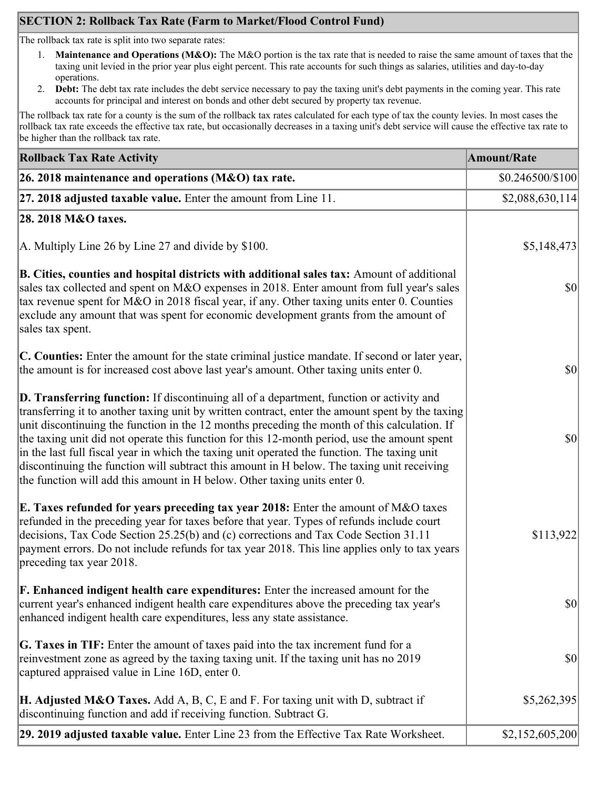# **SECTION 2: Rollback Tax Rate (Farm to Market/Flood Control Fund)**

The rollback tax rate is split into two separate rates:

- 1. **Maintenance and Operations (M&O):** The M&O portion is the tax rate that is needed to raise the same amount of taxes that the taxing unit levied in the prior year plus eight percent. This rate accounts for such things as salaries, utilities and day-to-day operations.
- 2. **Debt:** The debt tax rate includes the debt service necessary to pay the taxing unit's debt payments in the coming year. This rate accounts for principal and interest on bonds and other debt secured by property tax revenue.

The rollback tax rate for a county is the sum of the rollback tax rates calculated for each type of tax the county levies. In most cases the rollback tax rate exceeds the effective tax rate, but occasionally decreases in a taxing unit's debt service will cause the effective tax rate to be higher than the rollback tax rate.

| <b>Rollback Tax Rate Activity</b>                                                                                                                                                                                                                                                                                                                                                                                                                                                                                                                                                                                                                                              | <b>Amount/Rate</b> |
|--------------------------------------------------------------------------------------------------------------------------------------------------------------------------------------------------------------------------------------------------------------------------------------------------------------------------------------------------------------------------------------------------------------------------------------------------------------------------------------------------------------------------------------------------------------------------------------------------------------------------------------------------------------------------------|--------------------|
| 26. 2018 maintenance and operations ( $M&O$ ) tax rate.                                                                                                                                                                                                                                                                                                                                                                                                                                                                                                                                                                                                                        | \$0.246500/\$100   |
| 27. 2018 adjusted taxable value. Enter the amount from Line 11.                                                                                                                                                                                                                                                                                                                                                                                                                                                                                                                                                                                                                | \$2,088,630,114]   |
| 28. 2018 M&O taxes.                                                                                                                                                                                                                                                                                                                                                                                                                                                                                                                                                                                                                                                            |                    |
| A. Multiply Line 26 by Line 27 and divide by $$100$ .                                                                                                                                                                                                                                                                                                                                                                                                                                                                                                                                                                                                                          | \$5,148,473        |
| B. Cities, counties and hospital districts with additional sales tax: Amount of additional<br>sales tax collected and spent on M&O expenses in 2018. Enter amount from full year's sales<br>tax revenue spent for M&O in 2018 fiscal year, if any. Other taxing units enter 0. Counties<br>exclude any amount that was spent for economic development grants from the amount of<br>sales tax spent.                                                                                                                                                                                                                                                                            | <b>\$0</b>         |
| C. Counties: Enter the amount for the state criminal justice mandate. If second or later year,<br>the amount is for increased cost above last year's amount. Other taxing units enter 0.                                                                                                                                                                                                                                                                                                                                                                                                                                                                                       | $ 10\rangle$       |
| <b>D. Transferring function:</b> If discontinuing all of a department, function or activity and<br>transferring it to another taxing unit by written contract, enter the amount spent by the taxing<br>unit discontinuing the function in the 12 months preceding the month of this calculation. If<br>the taxing unit did not operate this function for this 12-month period, use the amount spent<br>in the last full fiscal year in which the taxing unit operated the function. The taxing unit<br>discontinuing the function will subtract this amount in H below. The taxing unit receiving<br>the function will add this amount in H below. Other taxing units enter 0. | $ 10\rangle$       |
| E. Taxes refunded for years preceding tax year 2018: Enter the amount of M&O taxes<br>refunded in the preceding year for taxes before that year. Types of refunds include court<br>decisions, Tax Code Section 25.25(b) and (c) corrections and Tax Code Section 31.11<br>payment errors. Do not include refunds for tax year 2018. This line applies only to tax years<br>preceding tax year 2018.                                                                                                                                                                                                                                                                            | \$113,922          |
| <b>F. Enhanced indigent health care expenditures:</b> Enter the increased amount for the<br>current year's enhanced indigent health care expenditures above the preceding tax year's<br>enhanced indigent health care expenditures, less any state assistance.                                                                                                                                                                                                                                                                                                                                                                                                                 | <b>\$0</b>         |
| <b>G. Taxes in TIF:</b> Enter the amount of taxes paid into the tax increment fund for a<br>reinvestment zone as agreed by the taxing taxing unit. If the taxing unit has no 2019<br>captured appraised value in Line 16D, enter 0.                                                                                                                                                                                                                                                                                                                                                                                                                                            | $ 10\rangle$       |
| <b>H. Adjusted M&amp;O Taxes.</b> Add A, B, C, E and F. For taxing unit with D, subtract if<br>discontinuing function and add if receiving function. Subtract G.                                                                                                                                                                                                                                                                                                                                                                                                                                                                                                               | \$5,262,395        |
| 29. 2019 adjusted taxable value. Enter Line 23 from the Effective Tax Rate Worksheet.                                                                                                                                                                                                                                                                                                                                                                                                                                                                                                                                                                                          | \$2,152,605,200    |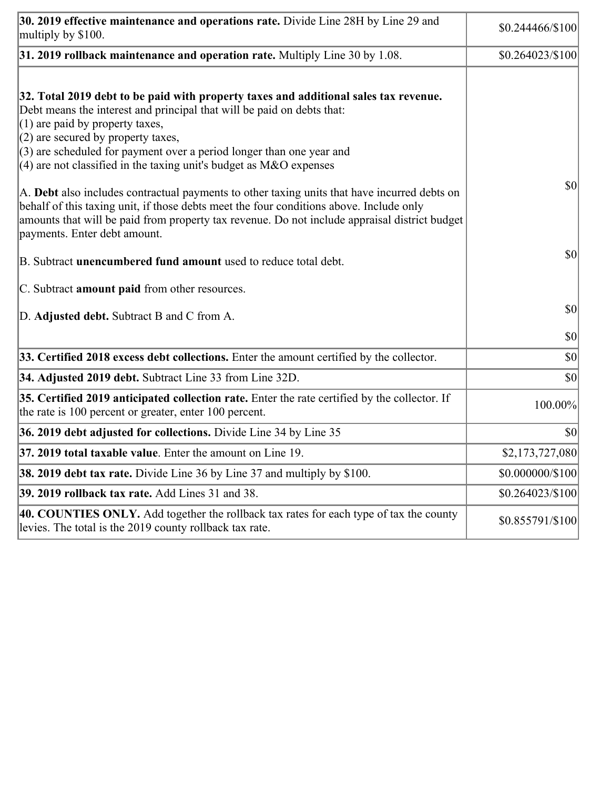| 30. 2019 effective maintenance and operations rate. Divide Line 28H by Line 29 and<br>multiply by \$100.                                                                                                                                                                                                                                                                                      | $$0.244466 \times 100$ |
|-----------------------------------------------------------------------------------------------------------------------------------------------------------------------------------------------------------------------------------------------------------------------------------------------------------------------------------------------------------------------------------------------|------------------------|
| $31.2019$ rollback maintenance and operation rate. Multiply Line 30 by 1.08.                                                                                                                                                                                                                                                                                                                  | \$0.264023/\$100       |
| 32. Total 2019 debt to be paid with property taxes and additional sales tax revenue.<br>Debt means the interest and principal that will be paid on debts that:<br>$(1)$ are paid by property taxes,<br>$(2)$ are secured by property taxes,<br>$(3)$ are scheduled for payment over a period longer than one year and<br>$(4)$ are not classified in the taxing unit's budget as M&O expenses |                        |
| A. Debt also includes contractual payments to other taxing units that have incurred debts on<br>behalf of this taxing unit, if those debts meet the four conditions above. Include only<br>amounts that will be paid from property tax revenue. Do not include appraisal district budget<br>payments. Enter debt amount.                                                                      | $ 10\rangle$           |
| B. Subtract <b>unencumbered fund amount</b> used to reduce total debt.                                                                                                                                                                                                                                                                                                                        | $ 10\rangle$           |
| C. Subtract <b>amount paid</b> from other resources.                                                                                                                                                                                                                                                                                                                                          |                        |
| D. Adjusted debt. Subtract B and C from A.                                                                                                                                                                                                                                                                                                                                                    | $ 10\rangle$           |
|                                                                                                                                                                                                                                                                                                                                                                                               | $ 10\rangle$           |
| 33. Certified 2018 excess debt collections. Enter the amount certified by the collector.                                                                                                                                                                                                                                                                                                      | $ 10\rangle$           |
| 34. Adjusted 2019 debt. Subtract Line 33 from Line 32D.                                                                                                                                                                                                                                                                                                                                       | \$0                    |
| 35. Certified 2019 anticipated collection rate. Enter the rate certified by the collector. If<br>the rate is 100 percent or greater, enter 100 percent.                                                                                                                                                                                                                                       | 100.00%                |
| 36. 2019 debt adjusted for collections. Divide Line 34 by Line 35                                                                                                                                                                                                                                                                                                                             | $ 10\rangle$           |
| 37. 2019 total taxable value. Enter the amount on Line 19.                                                                                                                                                                                                                                                                                                                                    | \$2,173,727,080        |
| <b>38. 2019 debt tax rate.</b> Divide Line 36 by Line 37 and multiply by \$100.                                                                                                                                                                                                                                                                                                               | \$0.000000/\$100       |
| 39. 2019 rollback tax rate. Add Lines 31 and 38.                                                                                                                                                                                                                                                                                                                                              | \$0.264023/\$100       |
| 40. COUNTIES ONLY. Add together the rollback tax rates for each type of tax the county<br>levies. The total is the 2019 county rollback tax rate.                                                                                                                                                                                                                                             | \$0.855791/\$100       |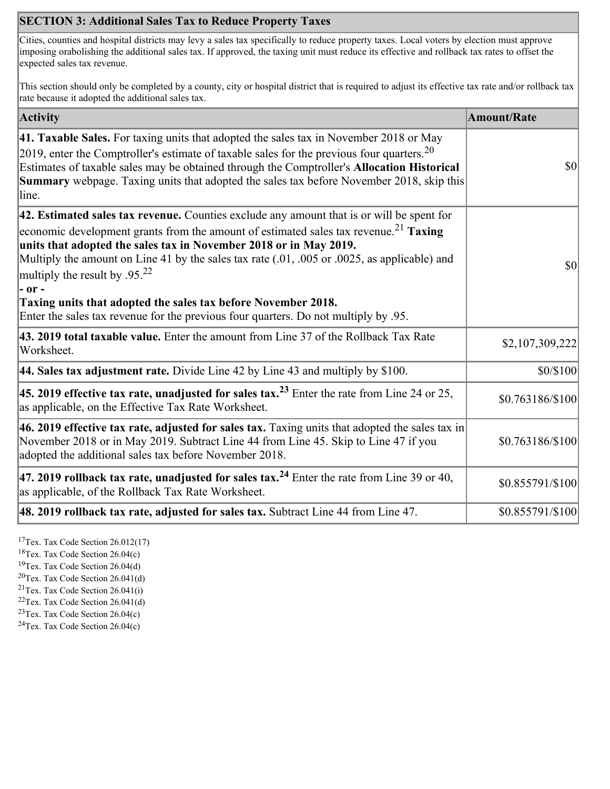# **SECTION 3: Additional Sales Tax to Reduce Property Taxes**

Cities, counties and hospital districts may levy a sales tax specifically to reduce property taxes. Local voters by election must approve imposing orabolishing the additional sales tax. If approved, the taxing unit must reduce its effective and rollback tax rates to offset the expected sales tax revenue.

This section should only be completed by a county, city or hospital district that is required to adjust its effective tax rate and/or rollback tax rate because it adopted the additional sales tax.

| <b>Activity</b>                                                                                                                                                                                                                                                                                                                                                                                                                                                                                                                                                                        | <b>Amount/Rate</b> |
|----------------------------------------------------------------------------------------------------------------------------------------------------------------------------------------------------------------------------------------------------------------------------------------------------------------------------------------------------------------------------------------------------------------------------------------------------------------------------------------------------------------------------------------------------------------------------------------|--------------------|
| 41. Taxable Sales. For taxing units that adopted the sales tax in November 2018 or May<br>[2019, enter the Comptroller's estimate of taxable sales for the previous four quarters. <sup>20</sup><br>Estimates of taxable sales may be obtained through the Comptroller's Allocation Historical<br><b>Summary</b> webpage. Taxing units that adopted the sales tax before November 2018, skip this<br>line.                                                                                                                                                                             | $ 10\rangle$       |
| $ 42$ . Estimated sales tax revenue. Counties exclude any amount that is or will be spent for<br>economic development grants from the amount of estimated sales tax revenue. <sup>21</sup> Taxing<br>units that adopted the sales tax in November 2018 or in May 2019.<br>Multiply the amount on Line 41 by the sales tax rate (.01, .005 or .0025, as applicable) and<br>multiply the result by .95. <sup>22</sup><br> - or -<br>Taxing units that adopted the sales tax before November 2018.<br>Enter the sales tax revenue for the previous four quarters. Do not multiply by .95. | $ 10\rangle$       |
| 43. 2019 total taxable value. Enter the amount from Line 37 of the Rollback Tax Rate<br>Worksheet.                                                                                                                                                                                                                                                                                                                                                                                                                                                                                     | \$2,107,309,222    |
| 44. Sales tax adjustment rate. Divide Line 42 by Line 43 and multiply by $$100$ .                                                                                                                                                                                                                                                                                                                                                                                                                                                                                                      | \$0/\$100          |
| 45. 2019 effective tax rate, unadjusted for sales tax. <sup>23</sup> Enter the rate from Line 24 or 25,<br>as applicable, on the Effective Tax Rate Worksheet.                                                                                                                                                                                                                                                                                                                                                                                                                         | \$0.763186/\$100   |
| 46. 2019 effective tax rate, adjusted for sales tax. Taxing units that adopted the sales tax in<br>November 2018 or in May 2019. Subtract Line 44 from Line 45. Skip to Line 47 if you<br>adopted the additional sales tax before November 2018.                                                                                                                                                                                                                                                                                                                                       | \$0.763186/\$100   |
| 47. 2019 rollback tax rate, unadjusted for sales tax. <sup>24</sup> Enter the rate from Line 39 or 40,<br>as applicable, of the Rollback Tax Rate Worksheet.                                                                                                                                                                                                                                                                                                                                                                                                                           | \$0.855791/\$100   |
| [48. 2019 rollback tax rate, adjusted for sales tax. Subtract Line 44 from Line 47.                                                                                                                                                                                                                                                                                                                                                                                                                                                                                                    | \$0.855791/\$100   |

<sup>17</sup>Tex. Tax Code Section 26.012(17)

<sup>18</sup>Tex. Tax Code Section 26.04(c)

<sup>19</sup>Tex. Tax Code Section 26.04(d)

 $20$ Tex. Tax Code Section 26.041(d)

<sup>21</sup>Tex. Tax Code Section  $26.041(i)$ 

 $22$ Tex. Tax Code Section 26.041(d)

 $23$ Tex. Tax Code Section 26.04(c)  $24$ Tex. Tax Code Section 26.04(c)